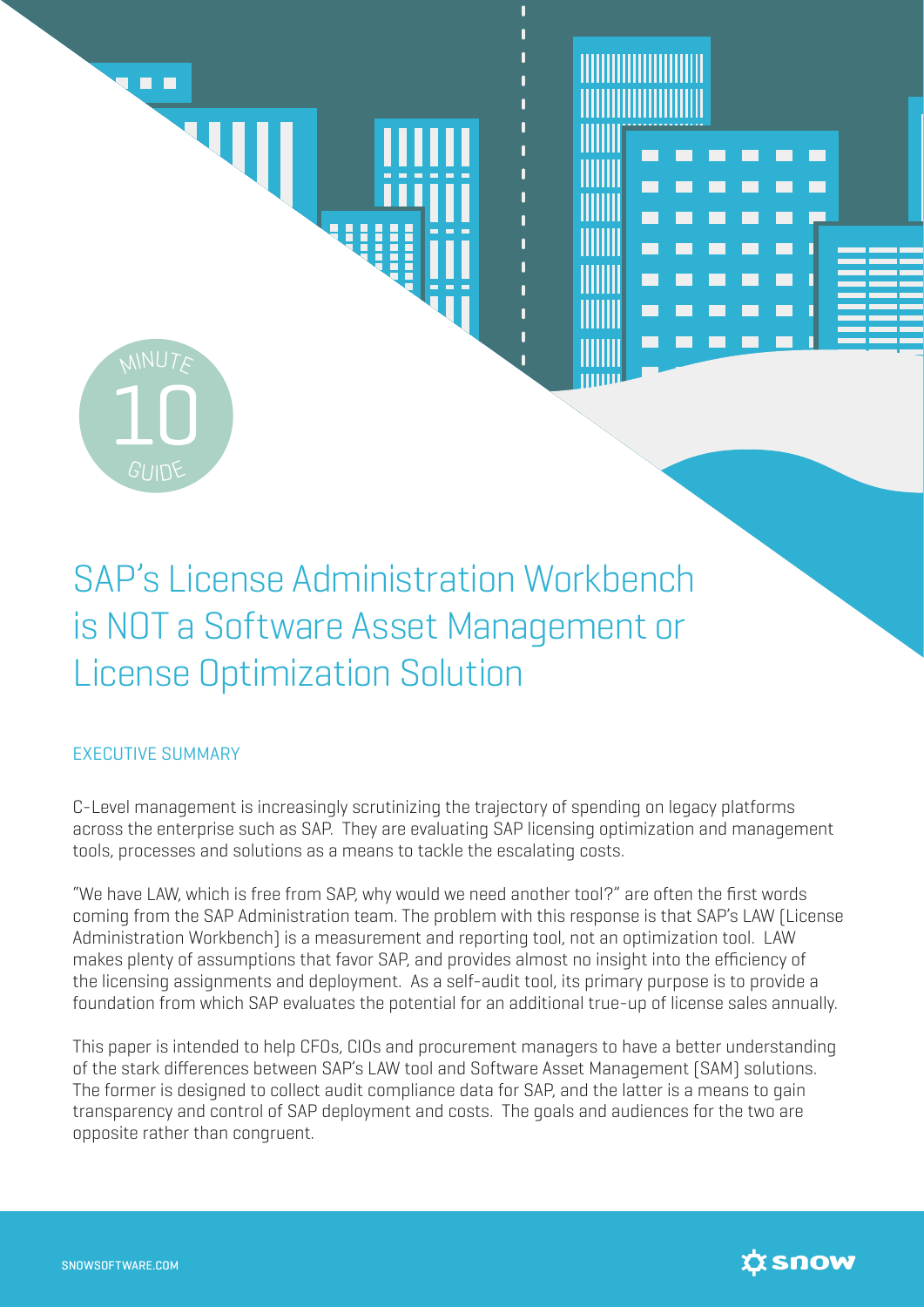

# SAP's License Administration Workbench is NOT a Software Asset Management or License Optimization Solution

# EXECUTIVE SUMMARY

C-Level management is increasingly scrutinizing the trajectory of spending on legacy platforms across the enterprise such as SAP. They are evaluating SAP licensing optimization and management tools, processes and solutions as a means to tackle the escalating costs.

"We have LAW, which is free from SAP, why would we need another tool?" are often the first words coming from the SAP Administration team. The problem with this response is that SAP's LAW (License Administration Workbench) is a measurement and reporting tool, not an optimization tool. LAW makes plenty of assumptions that favor SAP, and provides almost no insight into the efficiency of the licensing assignments and deployment. As a self-audit tool, its primary purpose is to provide a foundation from which SAP evaluates the potential for an additional true-up of license sales annually.

This paper is intended to help CFOs, CIOs and procurement managers to have a better understanding of the stark differences between SAP's LAW tool and Software Asset Management (SAM) solutions. The former is designed to collect audit compliance data for SAP, and the latter is a means to gain transparency and control of SAP deployment and costs. The goals and audiences for the two are opposite rather than congruent.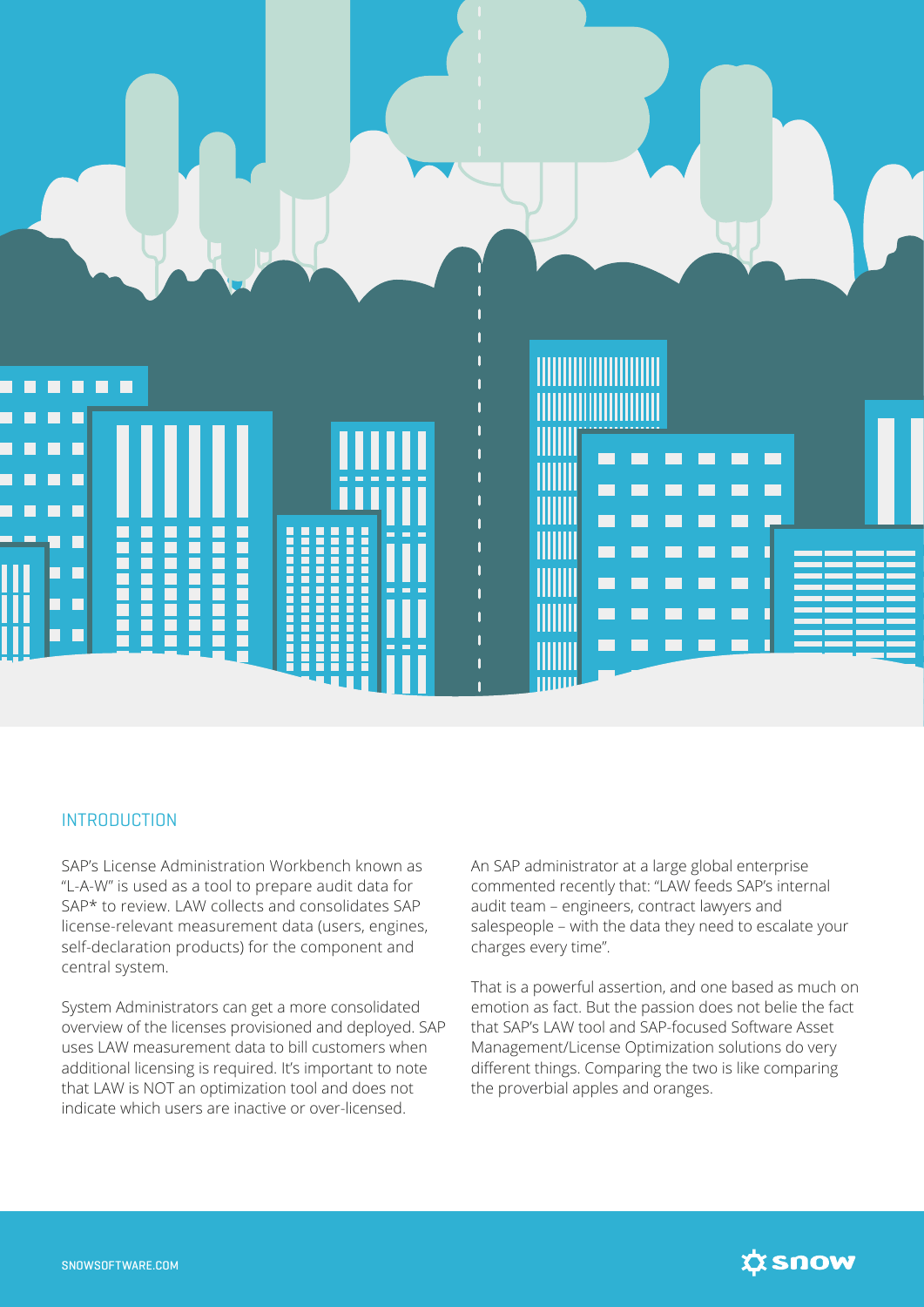

#### **INTRODUCTION**

SAP's License Administration Workbench known as "L-A-W" is used as a tool to prepare audit data for SAP\* to review. LAW collects and consolidates SAP license-relevant measurement data (users, engines, self-declaration products) for the component and central system.

System Administrators can get a more consolidated overview of the licenses provisioned and deployed. SAP uses LAW measurement data to bill customers when additional licensing is required. It's important to note that LAW is NOT an optimization tool and does not indicate which users are inactive or over-licensed.

An SAP administrator at a large global enterprise commented recently that: "LAW feeds SAP's internal audit team – engineers, contract lawyers and salespeople – with the data they need to escalate your charges every time".

That is a powerful assertion, and one based as much on emotion as fact. But the passion does not belie the fact that SAP's LAW tool and SAP-focused Software Asset Management/License Optimization solutions do very different things. Comparing the two is like comparing the proverbial apples and oranges.

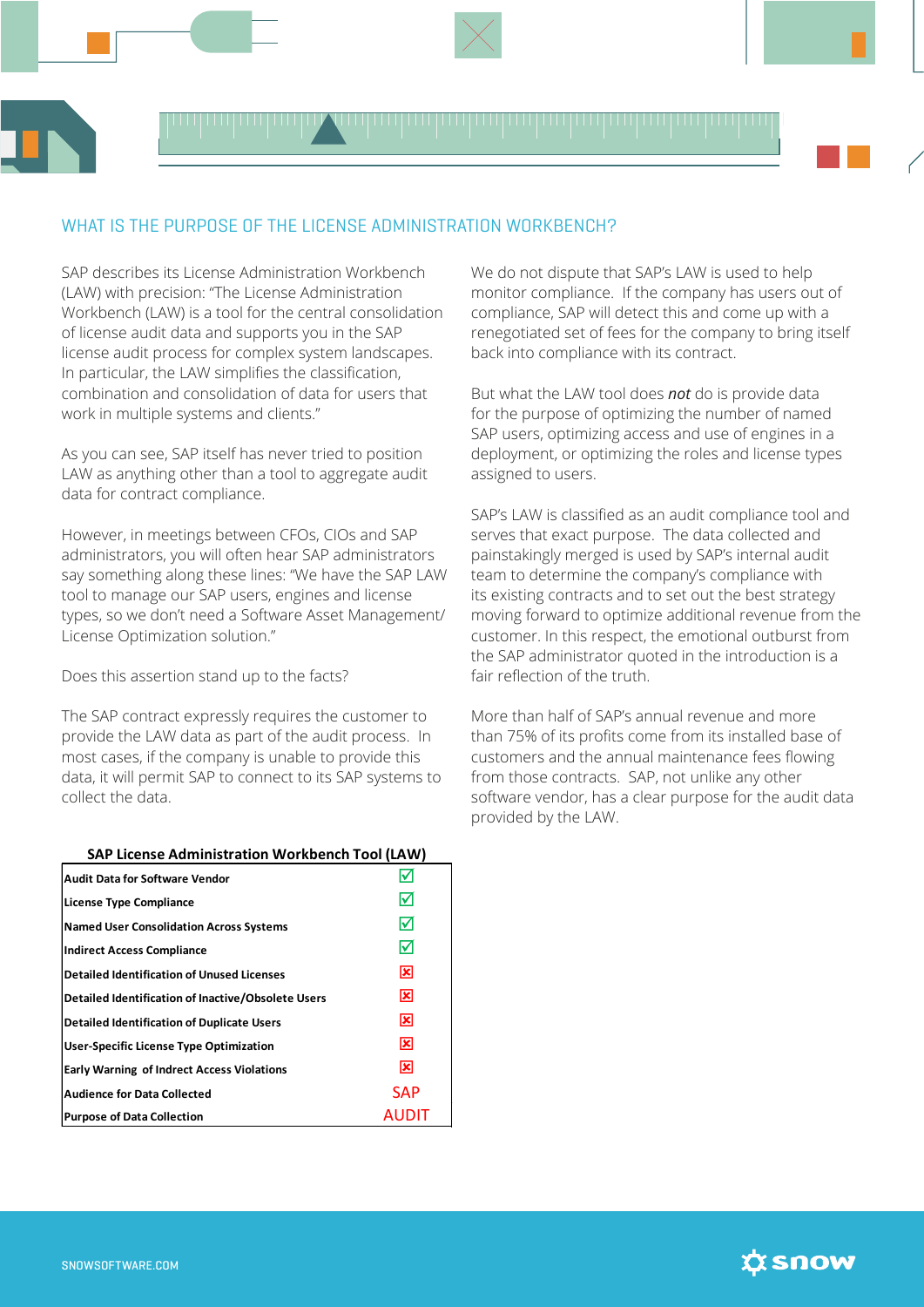

# WHAT IS THE PURPOSE OF THE LICENSE ADMINISTRATION WORKBENCH?

SAP describes its License Administration Workbench (LAW) with precision: "The License Administration Workbench (LAW) is a tool for the central consolidation of license audit data and supports you in the SAP license audit process for complex system landscapes. In particular, the LAW simplifies the classification, combination and consolidation of data for users that work in multiple systems and clients."

As you can see, SAP itself has never tried to position LAW as anything other than a tool to aggregate audit data for contract compliance.

However, in meetings between CFOs, CIOs and SAP administrators, you will often hear SAP administrators say something along these lines: "We have the SAP LAW tool to manage our SAP users, engines and license types, so we don't need a Software Asset Management/ License Optimization solution."

Does this assertion stand up to the facts?

The SAP contract expressly requires the customer to provide the LAW data as part of the audit process. In most cases, if the company is unable to provide this data, it will permit SAP to connect to its SAP systems to collect the data.

#### **SAP License Administration Workbench Tool (LAW)**

| <b>Audit Data for Software Vendor</b>              |              |
|----------------------------------------------------|--------------|
| License Type Compliance                            | ⋈            |
| <b>Named User Consolidation Across Systems</b>     | ⋈            |
| <b>Indirect Access Compliance</b>                  | ⋈            |
| <b>Detailed Identification of Unused Licenses</b>  | ⊠            |
| Detailed Identification of Inactive/Obsolete Users | ⊠            |
| <b>Detailed Identification of Duplicate Users</b>  | 図            |
| <b>User-Specific License Type Optimization</b>     | ⊠            |
| <b>Early Warning of Indrect Access Violations</b>  | ⊠            |
| <b>Audience for Data Collected</b>                 | <b>SAP</b>   |
| <b>Purpose of Data Collection</b>                  | <b>AUDIT</b> |

We do not dispute that SAP's LAW is used to help monitor compliance. If the company has users out of compliance, SAP will detect this and come up with a renegotiated set of fees for the company to bring itself back into compliance with its contract.

But what the LAW tool does *not* do is provide data for the purpose of optimizing the number of named SAP users, optimizing access and use of engines in a deployment, or optimizing the roles and license types assigned to users.

SAP's LAW is classified as an audit compliance tool and serves that exact purpose. The data collected and painstakingly merged is used by SAP's internal audit team to determine the company's compliance with its existing contracts and to set out the best strategy moving forward to optimize additional revenue from the customer. In this respect, the emotional outburst from the SAP administrator quoted in the introduction is a fair reflection of the truth

More than half of SAP's annual revenue and more than 75% of its profits come from its installed base of customers and the annual maintenance fees flowing from those contracts. SAP, not unlike any other software vendor, has a clear purpose for the audit data provided by the LAW.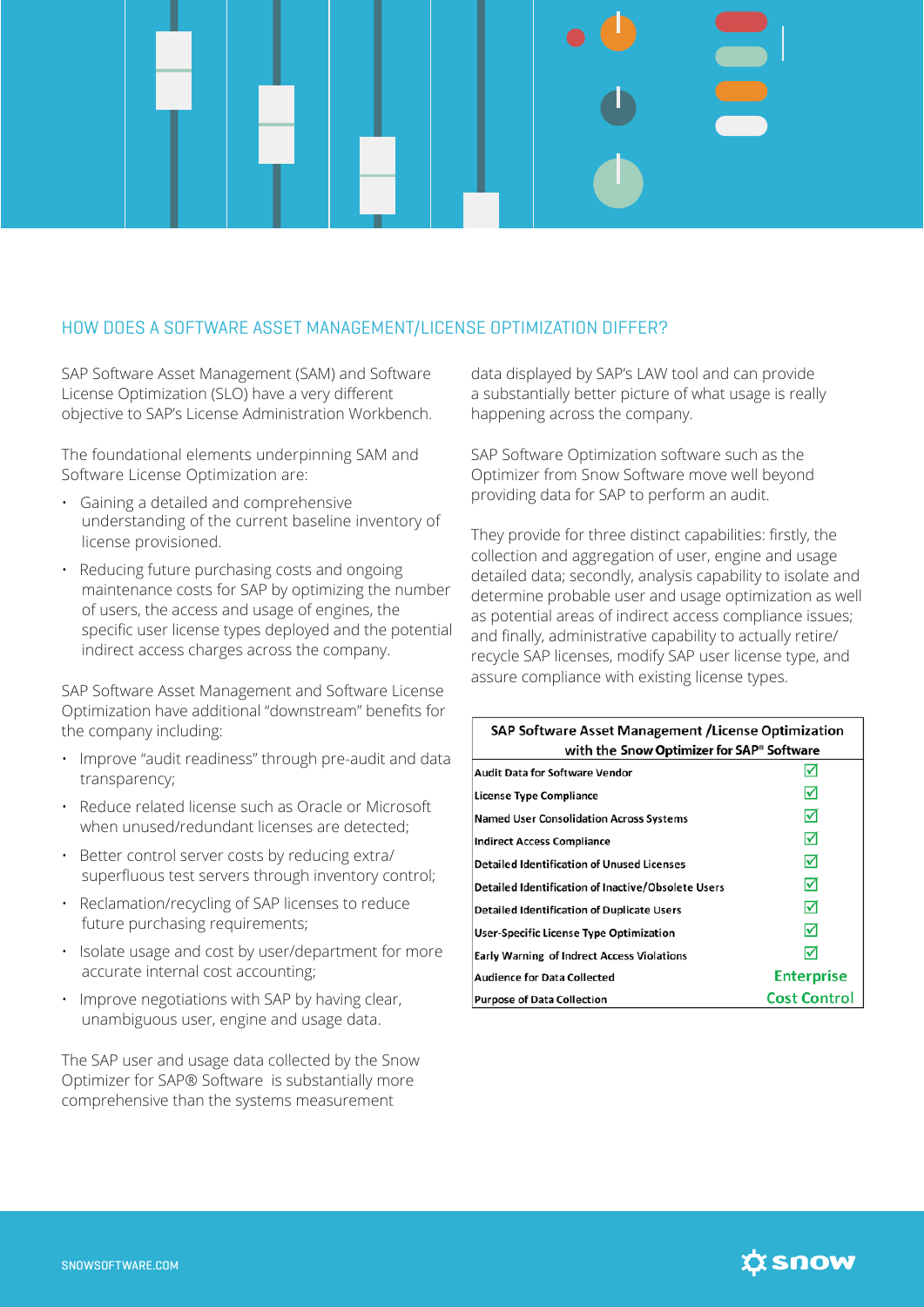# HOW DOES A SOFTWARE ASSET MANAGEMENT/LICENSE OPTIMIZATION DIFFER?

SAP Software Asset Management (SAM) and Software License Optimization (SLO) have a very different objective to SAP's License Administration Workbench.

The foundational elements underpinning SAM and Software License Optimization are:

- Gaining a detailed and comprehensive understanding of the current baseline inventory of license provisioned.
- Reducing future purchasing costs and ongoing maintenance costs for SAP by optimizing the number of users, the access and usage of engines, the specific user license types deployed and the potential indirect access charges across the company.

SAP Software Asset Management and Software License Optimization have additional "downstream" benefits for the company including:

- Improve "audit readiness" through pre-audit and data transparency;
- Reduce related license such as Oracle or Microsoft when unused/redundant licenses are detected;
- Better control server costs by reducing extra/ superfluous test servers through inventory control;
- Reclamation/recycling of SAP licenses to reduce future purchasing requirements;
- Isolate usage and cost by user/department for more accurate internal cost accounting;
- Improve negotiations with SAP by having clear, unambiguous user, engine and usage data.

The SAP user and usage data collected by the Snow Optimizer for SAP® Software is substantially more comprehensive than the systems measurement

data displayed by SAP's LAW tool and can provide a substantially better picture of what usage is really happening across the company.

SAP Software Optimization software such as the Optimizer from Snow Software move well beyond providing data for SAP to perform an audit.

They provide for three distinct capabilities: firstly, the collection and aggregation of user, engine and usage detailed data; secondly, analysis capability to isolate and determine probable user and usage optimization as well as potential areas of indirect access compliance issues; and finally, administrative capability to actually retire/ recycle SAP licenses, modify SAP user license type, and assure compliance with existing license types.

| <b>SAP Software Asset Management / License Optimization</b><br>with the Snow Optimizer for SAP® Software |                     |  |
|----------------------------------------------------------------------------------------------------------|---------------------|--|
| <b>Audit Data for Software Vendor</b>                                                                    | ✓                   |  |
| License Type Compliance                                                                                  | ⋈                   |  |
| <b>Named User Consolidation Across Systems</b>                                                           | ☑                   |  |
| <b>Indirect Access Compliance</b>                                                                        | ☑                   |  |
| <b>Detailed Identification of Unused Licenses</b>                                                        | ☑                   |  |
| Detailed Identification of Inactive/Obsolete Users                                                       | ☑                   |  |
| <b>Detailed Identification of Duplicate Users</b>                                                        | ☑                   |  |
| User-Specific License Type Optimization                                                                  | ⋈                   |  |
| <b>Early Warning of Indrect Access Violations</b>                                                        | ⋈                   |  |
| <b>Audience for Data Collected</b>                                                                       | <b>Enterprise</b>   |  |
| <b>Purpose of Data Collection</b>                                                                        | <b>Cost Control</b> |  |

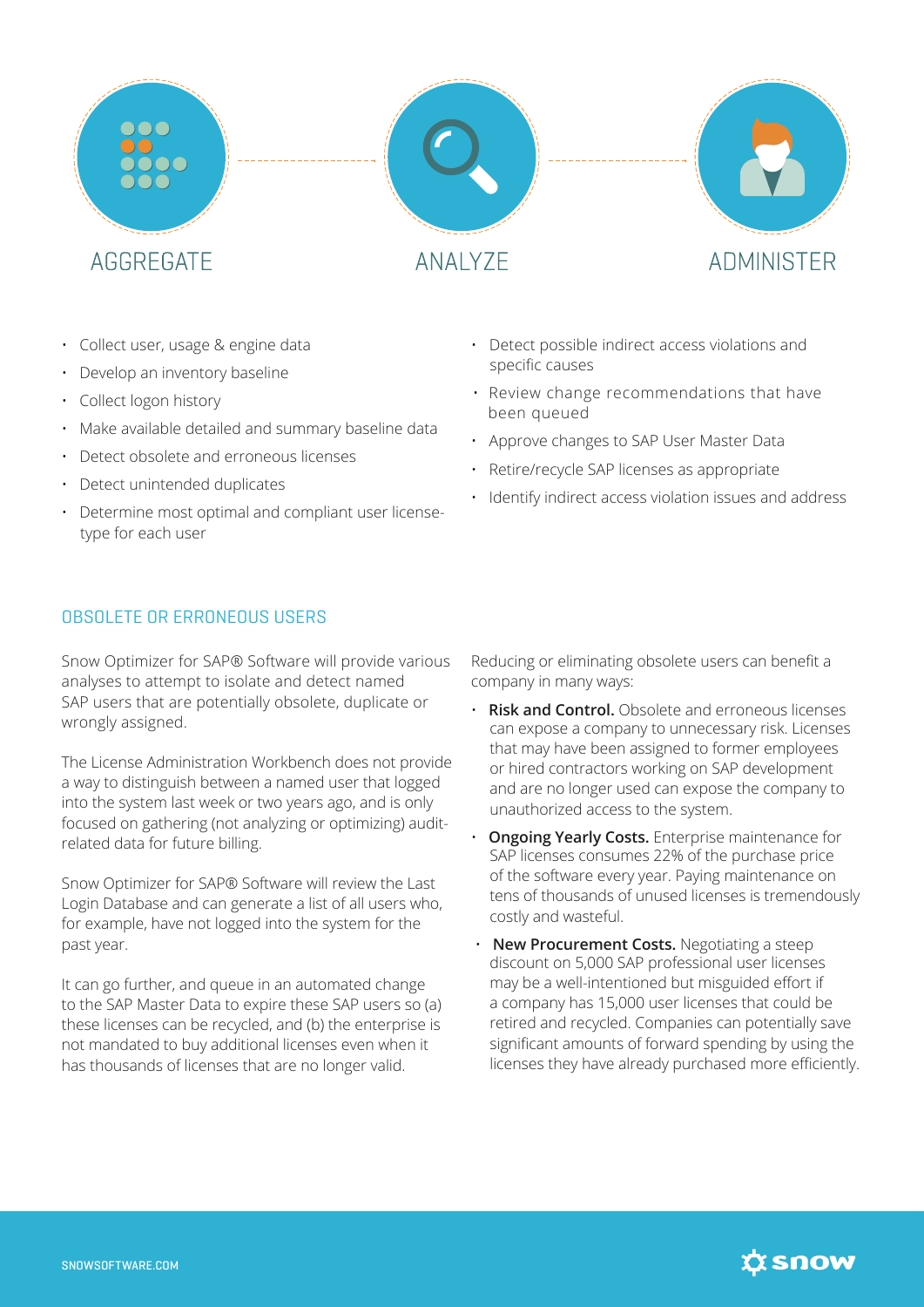



**ANAI Y7F** 



- Collect user, usage & engine data
- Develop an inventory baseline
- Collect logon history
- Make available detailed and summary baseline data
- Detect obsolete and erroneous licenses
- Detect unintended duplicates
- Determine most optimal and compliant user licensetype for each user

# OBSOLETE OR ERRONEOUS USERS

Snow Optimizer for SAP® Software will provide various analyses to attempt to isolate and detect named SAP users that are potentially obsolete, duplicate or wrongly assigned.

The License Administration Workbench does not provide a way to distinguish between a named user that logged into the system last week or two years ago, and is only focused on gathering (not analyzing or optimizing) auditrelated data for future billing.

Snow Optimizer for SAP® Software will review the Last Login Database and can generate a list of all users who, for example, have not logged into the system for the past year.

It can go further, and queue in an automated change to the SAP Master Data to expire these SAP users so (a) these licenses can be recycled, and (b) the enterprise is not mandated to buy additional licenses even when it has thousands of licenses that are no longer valid.

- Detect possible indirect access violations and specific causes
- Review change recommendations that have been queued
- Approve changes to SAP User Master Data
- Retire/recycle SAP licenses as appropriate
- Identify indirect access violation issues and address

Reducing or eliminating obsolete users can benefit a company in many ways:

- **Risk and Control.** Obsolete and erroneous licenses can expose a company to unnecessary risk. Licenses that may have been assigned to former employees or hired contractors working on SAP development and are no longer used can expose the company to unauthorized access to the system.
- **Ongoing Yearly Costs.** Enterprise maintenance for SAP licenses consumes 22% of the purchase price of the software every year. Paying maintenance on tens of thousands of unused licenses is tremendously costly and wasteful.
- **New Procurement Costs.** Negotiating a steep discount on 5,000 SAP professional user licenses may be a well-intentioned but misguided effort if a company has 15,000 user licenses that could be retired and recycled. Companies can potentially save significant amounts of forward spending by using the licenses they have already purchased more efficiently.

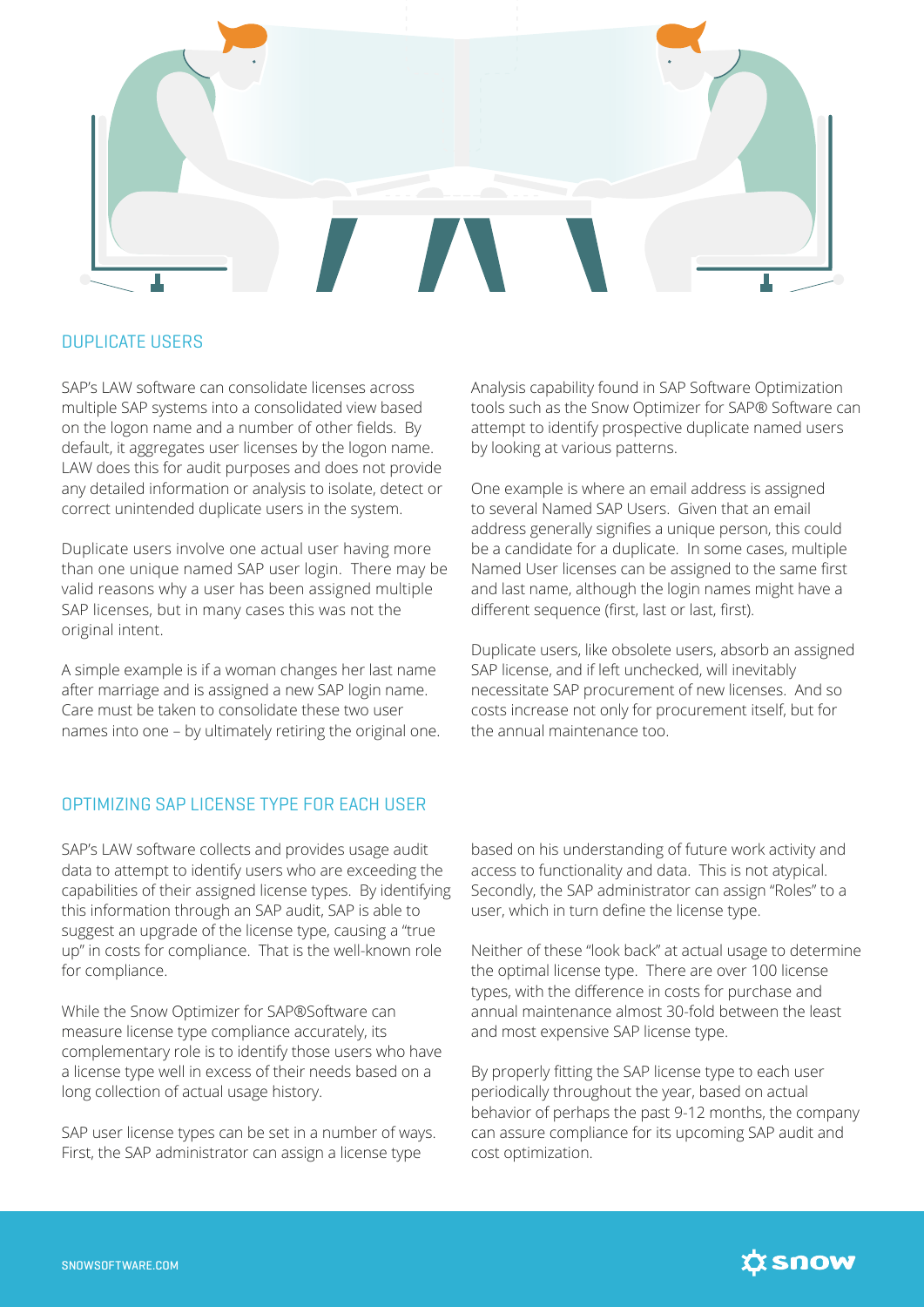

#### DUPLICATE USERS

SAP's LAW software can consolidate licenses across multiple SAP systems into a consolidated view based on the logon name and a number of other fields. By default, it aggregates user licenses by the logon name. LAW does this for audit purposes and does not provide any detailed information or analysis to isolate, detect or correct unintended duplicate users in the system.

Duplicate users involve one actual user having more than one unique named SAP user login. There may be valid reasons why a user has been assigned multiple SAP licenses, but in many cases this was not the original intent.

A simple example is if a woman changes her last name after marriage and is assigned a new SAP login name. Care must be taken to consolidate these two user names into one – by ultimately retiring the original one. Analysis capability found in SAP Software Optimization tools such as the Snow Optimizer for SAP® Software can attempt to identify prospective duplicate named users by looking at various patterns.

One example is where an email address is assigned to several Named SAP Users. Given that an email address generally signifies a unique person, this could be a candidate for a duplicate. In some cases, multiple Named User licenses can be assigned to the same first and last name, although the login names might have a different sequence (first, last or last, first).

Duplicate users, like obsolete users, absorb an assigned SAP license, and if left unchecked, will inevitably necessitate SAP procurement of new licenses. And so costs increase not only for procurement itself, but for the annual maintenance too.

#### OPTIMIZING SAP LICENSE TYPE FOR EACH USER

SAP's LAW software collects and provides usage audit data to attempt to identify users who are exceeding the capabilities of their assigned license types. By identifying this information through an SAP audit, SAP is able to suggest an upgrade of the license type, causing a "true up" in costs for compliance. That is the well-known role for compliance.

While the Snow Optimizer for SAP®Software can measure license type compliance accurately, its complementary role is to identify those users who have a license type well in excess of their needs based on a long collection of actual usage history.

SAP user license types can be set in a number of ways. First, the SAP administrator can assign a license type

based on his understanding of future work activity and access to functionality and data. This is not atypical. Secondly, the SAP administrator can assign "Roles" to a user, which in turn define the license type.

Neither of these "look back" at actual usage to determine the optimal license type. There are over 100 license types, with the difference in costs for purchase and annual maintenance almost 30-fold between the least and most expensive SAP license type.

By properly fitting the SAP license type to each user periodically throughout the year, based on actual behavior of perhaps the past 9-12 months, the company can assure compliance for its upcoming SAP audit and cost optimization.

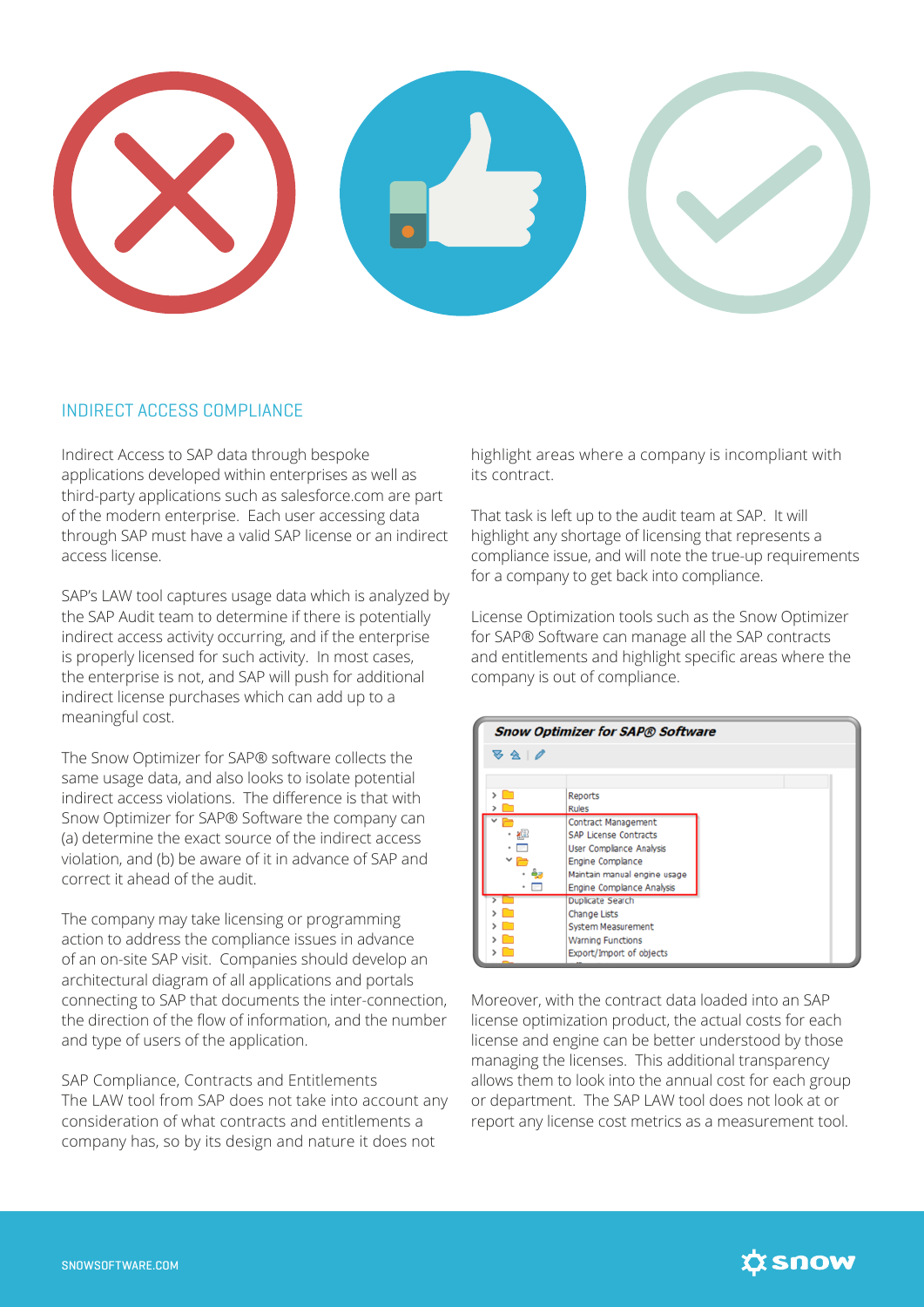

### INDIRECT ACCESS COMPLIANCE

Indirect Access to SAP data through bespoke applications developed within enterprises as well as third-party applications such as salesforce.com are part of the modern enterprise. Each user accessing data through SAP must have a valid SAP license or an indirect access license.

SAP's LAW tool captures usage data which is analyzed by the SAP Audit team to determine if there is potentially indirect access activity occurring, and if the enterprise is properly licensed for such activity. In most cases, the enterprise is not, and SAP will push for additional indirect license purchases which can add up to a meaningful cost.

The Snow Optimizer for SAP® software collects the same usage data, and also looks to isolate potential indirect access violations. The difference is that with Snow Optimizer for SAP® Software the company can (a) determine the exact source of the indirect access violation, and (b) be aware of it in advance of SAP and correct it ahead of the audit.

The company may take licensing or programming action to address the compliance issues in advance of an on-site SAP visit. Companies should develop an architectural diagram of all applications and portals connecting to SAP that documents the inter-connection, the direction of the flow of information, and the number and type of users of the application.

SAP Compliance, Contracts and Entitlements The LAW tool from SAP does not take into account any consideration of what contracts and entitlements a company has, so by its design and nature it does not

highlight areas where a company is incompliant with its contract.

That task is left up to the audit team at SAP. It will highlight any shortage of licensing that represents a compliance issue, and will note the true-up requirements for a company to get back into compliance.

License Optimization tools such as the Snow Optimizer for SAP® Software can manage all the SAP contracts and entitlements and highlight specific areas where the company is out of compliance.



Moreover, with the contract data loaded into an SAP license optimization product, the actual costs for each license and engine can be better understood by those managing the licenses. This additional transparency allows them to look into the annual cost for each group or department. The SAP LAW tool does not look at or report any license cost metrics as a measurement tool.

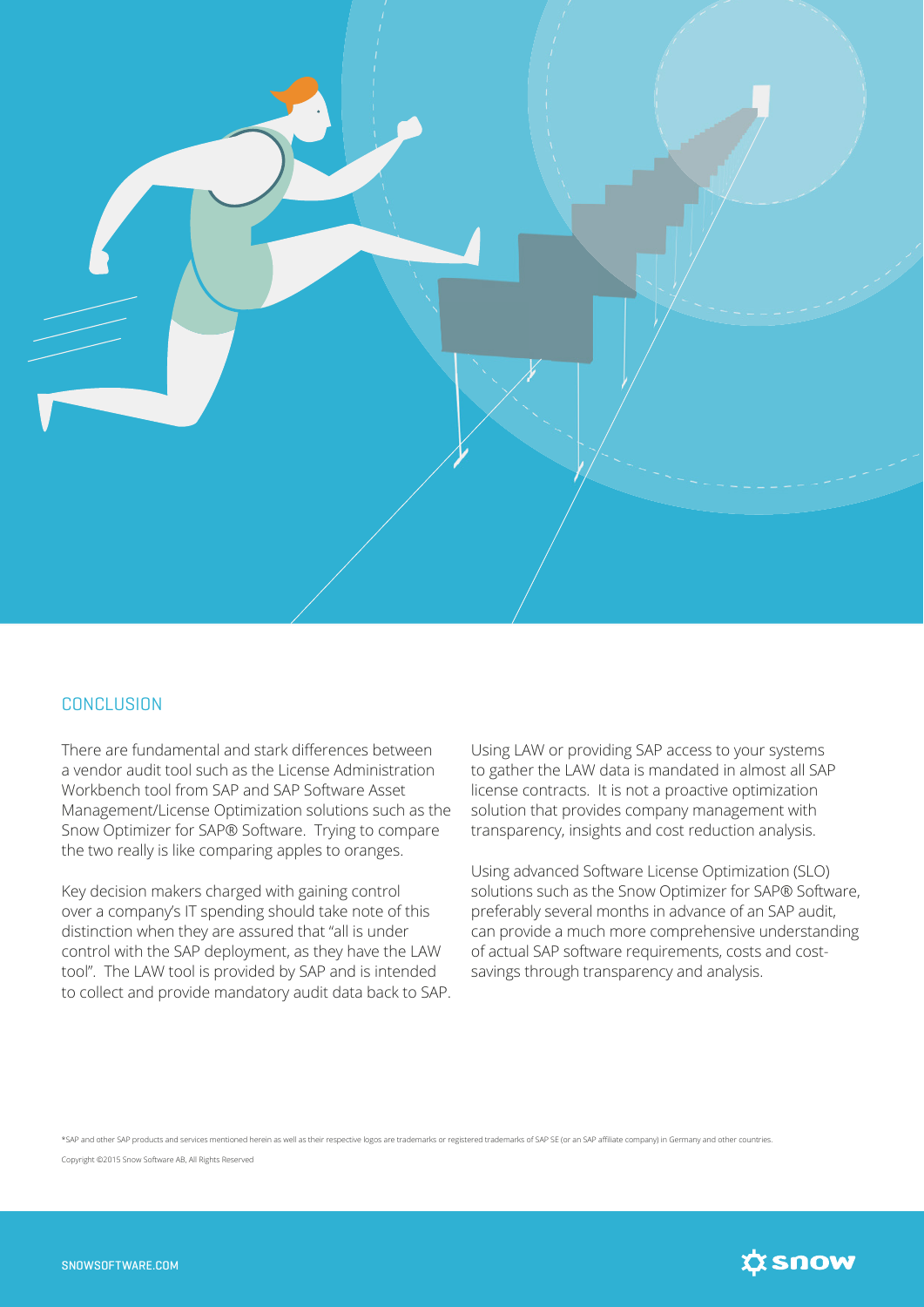

#### **CONCLUSION**

There are fundamental and stark differences between a vendor audit tool such as the License Administration Workbench tool from SAP and SAP Software Asset Management/License Optimization solutions such as the Snow Optimizer for SAP® Software. Trying to compare the two really is like comparing apples to oranges.

Key decision makers charged with gaining control over a company's IT spending should take note of this distinction when they are assured that "all is under control with the SAP deployment, as they have the LAW tool". The LAW tool is provided by SAP and is intended to collect and provide mandatory audit data back to SAP.

Using LAW or providing SAP access to your systems to gather the LAW data is mandated in almost all SAP license contracts. It is not a proactive optimization solution that provides company management with transparency, insights and cost reduction analysis.

Using advanced Software License Optimization (SLO) solutions such as the Snow Optimizer for SAP® Software, preferably several months in advance of an SAP audit, can provide a much more comprehensive understanding of actual SAP software requirements, costs and costsavings through transparency and analysis.

\*SAP and other SAP products and services mentioned herein as well as their respective logos are trademarks or registered trademarks of SAP SE (or an SAP affiliate company) in Germany and other countries.

Copyright ©2015 Snow Software AB, All Rights Reserved